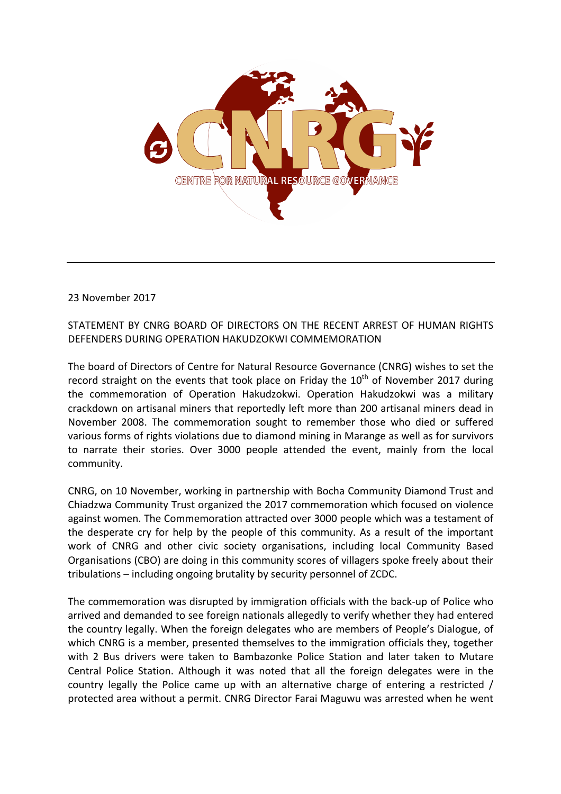

23 November 2017

STATEMENT BY CNRG BOARD OF DIRECTORS ON THE RECENT ARREST OF HUMAN RIGHTS DEFENDERS DURING OPERATION HAKUDZOKWI COMMEMORATION 

The board of Directors of Centre for Natural Resource Governance (CNRG) wishes to set the record straight on the events that took place on Friday the  $10^{th}$  of November 2017 during the commemoration of Operation Hakudzokwi. Operation Hakudzokwi was a military crackdown on artisanal miners that reportedly left more than 200 artisanal miners dead in November 2008. The commemoration sought to remember those who died or suffered various forms of rights violations due to diamond mining in Marange as well as for survivors to narrate their stories. Over 3000 people attended the event, mainly from the local community. 

CNRG, on 10 November, working in partnership with Bocha Community Diamond Trust and Chiadzwa Community Trust organized the 2017 commemoration which focused on violence against women. The Commemoration attracted over 3000 people which was a testament of the desperate cry for help by the people of this community. As a result of the important work of CNRG and other civic society organisations, including local Community Based Organisations (CBO) are doing in this community scores of villagers spoke freely about their tribulations – including ongoing brutality by security personnel of ZCDC.

The commemoration was disrupted by immigration officials with the back-up of Police who arrived and demanded to see foreign nationals allegedly to verify whether they had entered the country legally. When the foreign delegates who are members of People's Dialogue, of which CNRG is a member, presented themselves to the immigration officials they, together with 2 Bus drivers were taken to Bambazonke Police Station and later taken to Mutare Central Police Station. Although it was noted that all the foreign delegates were in the country legally the Police came up with an alternative charge of entering a restricted / protected area without a permit. CNRG Director Farai Maguwu was arrested when he went